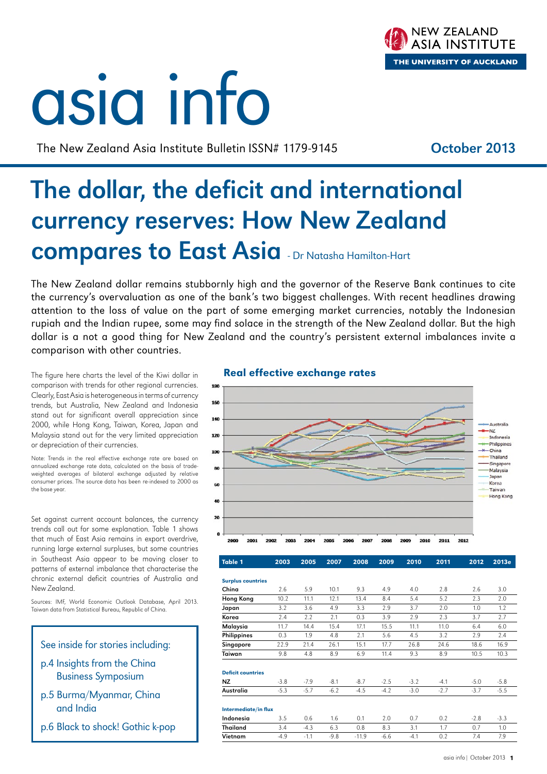# asia info

The New Zealand Asia Institute Bulletin ISSN# 1179-9145 **October 2013** 

**NEW ZEALAND ASIA INSTITUTE** 

THE UNIVERSITY OF AUCKLAND

# The dollar, the deficit and international currency reserves: How New Zealand compares to East Asia - Dr Natasha Hamilton-Hart

The New Zealand dollar remains stubbornly high and the governor of the Reserve Bank continues to cite the currency's overvaluation as one of the bank's two biggest challenges. With recent headlines drawing attention to the loss of value on the part of some emerging market currencies, notably the Indonesian rupiah and the Indian rupee, some may find solace in the strength of the New Zealand dollar. But the high dollar is a not a good thing for New Zealand and the country's persistent external imbalances invite a comparison with other countries.

The figure here charts the level of the Kiwi dollar in comparison with trends for other regional currencies. Clearly, East Asia is heterogeneous in terms of currency trends, but Australia, New Zealand and Indonesia stand out for significant overall appreciation since 2000, while Hong Kong, Taiwan, Korea, Japan and Malaysia stand out for the very limited appreciation or depreciation of their currencies.

Note: Trends in the real effective exchange rate are based on annualized exchange rate data, calculated on the basis of tradeweighted averages of bilateral exchange adjusted by relative consumer prices. The source data has been re-indexed to 2000 as the base year.

Set against current account balances, the currency trends call out for some explanation. Table 1 shows that much of East Asia remains in export overdrive, running large external surpluses, but some countries in Southeast Asia appear to be moving closer to patterns of external imbalance that characterise the chronic external deficit countries of Australia and New Zealand.

Sources: IMF, World Economic Outlook Database, April 2013. Taiwan data from Statistical Bureau, Republic of China.



- Business Symposium
- p.5 Burma/Myanmar, China and India
- p.6 Black to shock! Gothic k-pop

## Real effective exchange rates



| <b>Table 1</b>           | 2003   | 2005   | 2007   | 2008    | 2009   | 2010   | 2011   | 2012   | 2013e  |
|--------------------------|--------|--------|--------|---------|--------|--------|--------|--------|--------|
|                          |        |        |        |         |        |        |        |        |        |
| <b>Surplus countries</b> |        |        |        |         |        |        |        |        |        |
| China                    | 2.6    | 5.9    | 10.1   | 9.3     | 4.9    | 4.0    | 2.8    | 2.6    | 3.0    |
| <b>Hong Kong</b>         | 10.2   | 11.1   | 12.1   | 13.4    | 8.4    | 5.4    | 5.2    | 2.3    | 2.0    |
| Japan                    | 3.2    | 3.6    | 4.9    | 3.3     | 2.9    | 3.7    | 2.0    | 1.0    | 1.2    |
| Korea                    | 2.4    | 2.2    | 2.1    | 0.3     | 3.9    | 2.9    | 2.3    | 3.7    | 2.7    |
| Malaysia                 | 11.7   | 14.4   | 15.4   | 17.1    | 15.5   | 11.1   | 11.0   | 6.4    | 6.0    |
| <b>Philippines</b>       | 0.3    | 1.9    | 4.8    | 2.1     | 5.6    | 4.5    | 3.2    | 2.9    | 2.4    |
| Singapore                | 22.9   | 21.4   | 26.1   | 15.1    | 17.7   | 26.8   | 24.6   | 18.6   | 16.9   |
| Taiwan                   | 9.8    | 4.8    | 8.9    | 6.9     | 11.4   | 9.3    | 8.9    | 10.5   | 10.3   |
| <b>Deficit countries</b> |        |        |        |         |        |        |        |        |        |
| <b>NZ</b>                | $-3.8$ | $-7.9$ | $-8.1$ | $-8.7$  | $-2.5$ | $-3.2$ | $-4.1$ | $-5.0$ | $-5.8$ |
| Australia                | $-5.3$ | $-5.7$ | $-6.2$ | $-4.5$  | $-4.2$ | $-3.0$ | $-2.7$ | $-3.7$ | $-5.5$ |
| Intermediate/in flux     |        |        |        |         |        |        |        |        |        |
| Indonesia                | 3.5    | 0.6    | 1.6    | 0.1     | 2.0    | 0.7    | 0.2    | $-2.8$ | $-3.3$ |
| Thailand                 | 3.4    | $-4.3$ | 6.3    | 0.8     | 8.3    | 3.1    | 1.7    | 0.7    | 1.0    |
| Vietnam                  | $-4.9$ | $-1.1$ | $-9.8$ | $-11.9$ | $-6.6$ | $-4.1$ | 0.2    | 7.4    | 7.9    |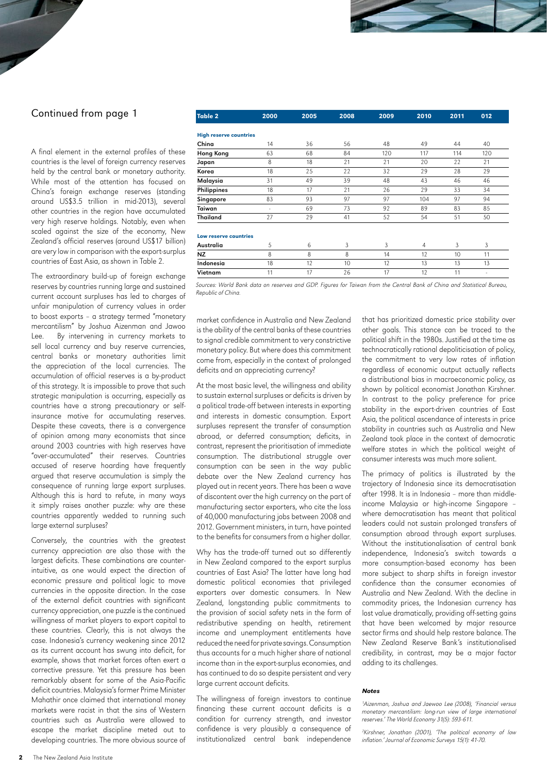## Continued from page 1

A final element in the external profiles of these countries is the level of foreign currency reserves held by the central bank or monetary authority. While most of the attention has focused on China's foreign exchange reserves (standing around US\$3.5 trillion in mid-2013), several other countries in the region have accumulated very high reserve holdings. Notably, even when scaled against the size of the economy, New Zealand's official reserves (around US\$17 billion) are very low in comparison with the export-surplus countries of East Asia, as shown in Table 2.

The extraordinary build-up of foreign exchange reserves by countries running large and sustained current account surpluses has led to charges of unfair manipulation of currency values in order to boost exports – a strategy termed "monetary mercantilism" by Joshua Aizenman and Jawoo Lee. By intervening in currency markets to sell local currency and buy reserve currencies, central banks or monetary authorities limit the appreciation of the local currencies. The accumulation of official reserves is a by-product of this strategy. It is impossible to prove that such strategic manipulation is occurring, especially as countries have a strong precautionary or selfinsurance motive for accumulating reserves. Despite these caveats, there is a convergence of opinion among many economists that since around 2003 countries with high reserves have "over-accumulated" their reserves. Countries accused of reserve hoarding have frequently argued that reserve accumulation is simply the consequence of running large export surpluses. Although this is hard to refute, in many ways it simply raises another puzzle: why are these countries apparently wedded to running such large external surpluses?

Conversely, the countries with the greatest currency appreciation are also those with the largest deficits. These combinations are counterintuitive, as one would expect the direction of economic pressure and political logic to move currencies in the opposite direction. In the case of the external deficit countries with significant currency appreciation, one puzzle is the continued willingness of market players to export capital to these countries. Clearly, this is not always the case. Indonesia's currency weakening since 2012 as its current account has swung into deficit, for example, shows that market forces often exert a corrective pressure. Yet this pressure has been remarkably absent for some of the Asia-Pacific deficit countries. Malaysia's former Prime Minister Mahathir once claimed that international money markets were racist in that the sins of Western countries such as Australia were allowed to escape the market discipline meted out to developing countries. The more obvious source of

| <b>Table 2</b>                | 2000 | 2005 | 2008 | 2009 | 2010           | 2011 | 012 |
|-------------------------------|------|------|------|------|----------------|------|-----|
|                               |      |      |      |      |                |      |     |
| <b>High reserve countries</b> |      |      |      |      |                |      |     |
| China                         | 14   | 36   | 56   | 48   | 49             | 44   | 40  |
| <b>Hong Kong</b>              | 63   | 68   | 84   | 120  | 117            | 114  | 120 |
| Japan                         | 8    | 18   | 21   | 21   | 20             | 22   | 21  |
| Korea                         | 18   | 25   | 22   | 32   | 29             | 28   | 29  |
| Malaysia                      | 31   | 49   | 39   | 48   | 43             | 46   | 46  |
| Philippines                   | 18   | 17   | 21   | 26   | 29             | 33   | 34  |
| Singapore                     | 83   | 93   | 97   | 97   | 104            | 97   | 94  |
| Taiwan                        | ٠    | 69   | 73   | 92   | 89             | 83   | 85  |
| <b>Thailand</b>               | 27   | 29   | 41   | 52   | 54             | 51   | 50  |
| Low reserve countries         |      |      |      |      |                |      |     |
| Australia                     | 5    | 6    | 3    | 3    | $\overline{4}$ | 3    | 3   |
| <b>NZ</b>                     | 8    | 8    | 8    | 14   | 12             | 10   | 11  |
| Indonesia                     | 18   | 12   | 10   | 12   | 13             | 13   | 13  |
| Vietnam                       | 11   | 17   | 26   | 17   | 12             | 11   | ٠   |

Sources: World Bank data on reserves and GDP. Figures for Taiwan from the Central Bank of China and Statistical Bureau, Republic of China.

market confidence in Australia and New Zealand is the ability of the central banks of these countries to signal credible commitment to very constrictive monetary policy. But where does this commitment come from, especially in the context of prolonged deficits and an appreciating currency?

At the most basic level, the willingness and ability to sustain external surpluses or deficits is driven by a political trade-off between interests in exporting and interests in domestic consumption. Export surpluses represent the transfer of consumption abroad, or deferred consumption; deficits, in contrast, represent the prioritisation of immediate consumption. The distributional struggle over consumption can be seen in the way public debate over the New Zealand currency has played out in recent years. There has been a wave of discontent over the high currency on the part of manufacturing sector exporters, who cite the loss of 40,000 manufacturing jobs between 2008 and 2012. Government ministers, in turn, have pointed to the benefits for consumers from a higher dollar.

Why has the trade-off turned out so differently in New Zealand compared to the export surplus countries of East Asia? The latter have long had domestic political economies that privileged exporters over domestic consumers. In New Zealand, longstanding public commitments to the provision of social safety nets in the form of redistributive spending on health, retirement income and unemployment entitlements have reduced the need for private savings. Consumption thus accounts for a much higher share of national income than in the export-surplus economies, and has continued to do so despite persistent and very large current account deficits.

The willingness of foreign investors to continue financing these current account deficits is a condition for currency strength, and investor confidence is very plausibly a consequence of institutionalized central bank independence

that has prioritized domestic price stability over other goals. This stance can be traced to the political shift in the 1980s. Justified at the time as technocratically rational depoliticisation of policy, the commitment to very low rates of inflation regardless of economic output actually reflects a distributional bias in macroeconomic policy, as shown by political economist Jonathan Kirshner. In contrast to the policy preference for price stability in the export-driven countries of East Asia, the political ascendance of interests in price stability in countries such as Australia and New Zealand took place in the context of democratic welfare states in which the political weight of consumer interests was much more salient.

The primacy of politics is illustrated by the trajectory of Indonesia since its democratisation after 1998. It is in Indonesia – more than middleincome Malaysia or high-income Singapore – where democratisation has meant that political leaders could not sustain prolonged transfers of consumption abroad through export surpluses. Without the institutionalisation of central bank independence, Indonesia's switch towards a more consumption-based economy has been more subject to sharp shifts in foreign investor confidence than the consumer economies of Australia and New Zealand. With the decline in commodity prices, the Indonesian currency has lost value dramatically, providing off-setting gains that have been welcomed by major resource sector firms and should help restore balance. The New Zealand Reserve Bank's institutionalised credibility, in contrast, may be a major factor adding to its challenges.

#### *Notes*

1 Aizenman, Joshua and Jaewoo Lee (2008), 'Financial versus monetary mercantilism: long-run view of large international reserves.' The World Economy 31(5): 593-611.

2 Kirshner, Jonathan (2001), 'The political economy of low inflation.' Journal of Economic Surveys 15(1): 41-70.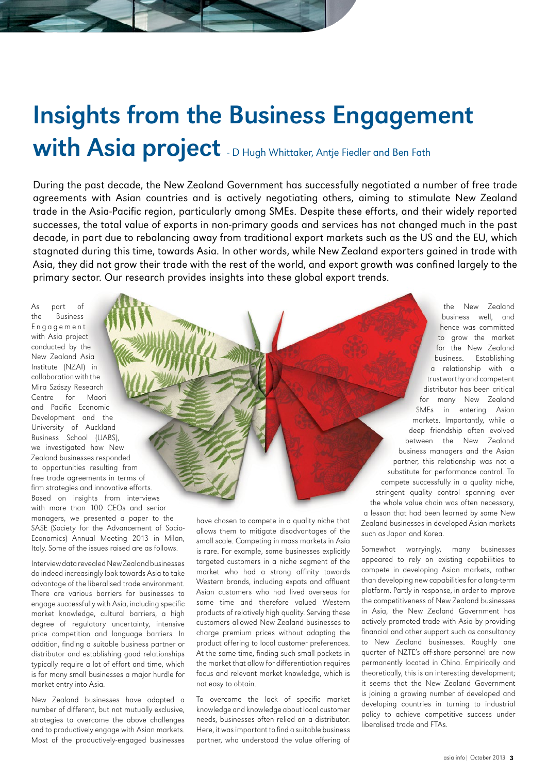# Insights from the Business Engagement with Asia project - D Hugh Whittaker, Antje Fiedler and Ben Fath

During the past decade, the New Zealand Government has successfully negotiated a number of free trade agreements with Asian countries and is actively negotiating others, aiming to stimulate New Zealand trade in the Asia-Pacific region, particularly among SMEs. Despite these efforts, and their widely reported successes, the total value of exports in non-primary goods and services has not changed much in the past decade, in part due to rebalancing away from traditional export markets such as the US and the EU, which stagnated during this time, towards Asia. In other words, while New Zealand exporters gained in trade with Asia, they did not grow their trade with the rest of the world, and export growth was confined largely to the primary sector. Our research provides insights into these global export trends.

As part of the Business E n g a g e m e n t with Asia project conducted by the New Zealand Asia Institute (NZAI) in collaboration with the Mira Szászy Research Centre for Māori and Pacific Economic Development and the University of Auckland Business School (UABS), we investigated how New Zealand businesses responded to opportunities resulting from free trade agreements in terms of firm strategies and innovative efforts. Based on insights from interviews with more than 100 CEOs and senior managers, we presented a paper to the SASE (Society for the Advancement of Socio-Economics) Annual Meeting 2013 in Milan, Italy. Some of the issues raised are as follows.

Interview data revealed New Zealand businesses do indeed increasingly look towards Asia to take advantage of the liberalised trade environment. There are various barriers for businesses to engage successfully with Asia, including specific market knowledge, cultural barriers, a high degree of regulatory uncertainty, intensive price competition and language barriers. In addition, finding a suitable business partner or distributor and establishing good relationships typically require a lot of effort and time, which is for many small businesses a major hurdle for market entry into Asia.

New Zealand businesses have adopted a number of different, but not mutually exclusive, strategies to overcome the above challenges and to productively engage with Asian markets. Most of the productively-engaged businesses

have chosen to compete in a quality niche that allows them to mitigate disadvantages of the small scale. Competing in mass markets in Asia is rare. For example, some businesses explicitly targeted customers in a niche segment of the market who had a strong affinity towards Western brands, including expats and affluent Asian customers who had lived overseas for some time and therefore valued Western products of relatively high quality. Serving these customers allowed New Zealand businesses to charge premium prices without adapting the product offering to local customer preferences. At the same time, finding such small pockets in the market that allow for differentiation requires focus and relevant market knowledge, which is not easy to obtain.

To overcome the lack of specific market knowledge and knowledge about local customer needs, businesses often relied on a distributor. Here, it was important to find a suitable business partner, who understood the value offering of

the New Zealand business well, and hence was committed to grow the market for the New Zealand business. Establishing a relationship with a trustworthy and competent distributor has been critical for many New Zealand SMEs in entering Asian markets. Importantly, while a deep friendship often evolved between the New Zealand business managers and the Asian partner, this relationship was not a substitute for performance control. To compete successfully in a quality niche, stringent quality control spanning over the whole value chain was often necessary, a lesson that had been learned by some New Zealand businesses in developed Asian markets such as Japan and Korea.

Somewhat worryingly, many businesses appeared to rely on existing capabilities to compete in developing Asian markets, rather than developing new capabilities for a long-term platform. Partly in response, in order to improve the competitiveness of New Zealand businesses in Asia, the New Zealand Government has actively promoted trade with Asia by providing financial and other support such as consultancy to New Zealand businesses. Roughly one quarter of NZTE's off-shore personnel are now permanently located in China. Empirically and theoretically, this is an interesting development; it seems that the New Zealand Government is joining a growing number of developed and developing countries in turning to industrial policy to achieve competitive success under liberalised trade and FTAs.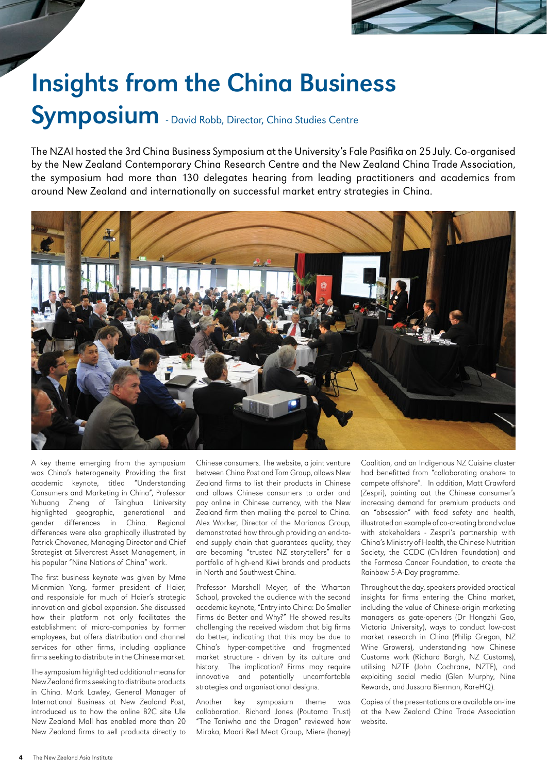

# Insights from the China Business

## Symposium - David Robb, Director, China Studies Centre

The NZAI hosted the 3rd China Business Symposium at the University's Fale Pasifika on 25 July. Co-organised by the New Zealand Contemporary China Research Centre and the New Zealand China Trade Association, the symposium had more than 130 delegates hearing from leading practitioners and academics from around New Zealand and internationally on successful market entry strategies in China.



A key theme emerging from the symposium was China's heterogeneity. Providing the first academic keynote, titled "Understanding Consumers and Marketing in China", Professor Yuhuang Zheng of Tsinghua University highlighted geographic, generational and gender differences in China. Regional differences were also graphically illustrated by Patrick Chovanec, Managing Director and Chief Strategist at Silvercrest Asset Management, in his popular "Nine Nations of China" work.

The first business keynote was given by Mme Mianmian Yang, former president of Haier, and responsible for much of Haier's strategic innovation and global expansion. She discussed how their platform not only facilitates the establishment of micro-companies by former employees, but offers distribution and channel services for other firms, including appliance firms seeking to distribute in the Chinese market.

The symposium highlighted additional means for New Zealand firms seeking to distribute products in China. Mark Lawley, General Manager of International Business at New Zealand Post, introduced us to how the online B2C site Ule New Zealand Mall has enabled more than 20 New Zealand firms to sell products directly to

Chinese consumers. The website, a joint venture between China Post and Tom Group, allows New Zealand firms to list their products in Chinese and allows Chinese consumers to order and pay online in Chinese currency, with the New Zealand firm then mailing the parcel to China. Alex Worker, Director of the Marianas Group, demonstrated how through providing an end-toend supply chain that guarantees quality, they are becoming "trusted NZ storytellers" for a portfolio of high-end Kiwi brands and products in North and Southwest China.

Professor Marshall Meyer, of the Wharton School, provoked the audience with the second academic keynote, "Entry into China: Do Smaller Firms do Better and Why?" He showed results challenging the received wisdom that big firms do better, indicating that this may be due to China's hyper-competitive and fragmented market structure - driven by its culture and history. The implication? Firms may require innovative and potentially uncomfortable strategies and organisational designs.

Another key symposium theme was collaboration. Richard Jones (Poutama Trust) "The Taniwha and the Dragon" reviewed how Miraka, Maori Red Meat Group, Miere (honey) Coalition, and an Indigenous NZ Cuisine cluster had benefitted from "collaborating onshore to compete offshore". In addition, Matt Crawford (Zespri), pointing out the Chinese consumer's increasing demand for premium products and an "obsession" with food safety and health, illustrated an example of co-creating brand value with stakeholders - Zespri's partnership with China's Ministry of Health, the Chinese Nutrition Society, the CCDC (Children Foundation) and the Formosa Cancer Foundation, to create the Rainbow 5-A-Day programme.

Throughout the day, speakers provided practical insights for firms entering the China market, including the value of Chinese-origin marketing managers as gate-openers (Dr Hongzhi Gao, Victoria University), ways to conduct low-cost market research in China (Philip Gregan, NZ Wine Growers), understanding how Chinese Customs work (Richard Bargh, NZ Customs), utilising NZTE (John Cochrane, NZTE), and exploiting social media (Glen Murphy, Nine Rewards, and Jussara Bierman, RareHQ).

Copies of the presentations are available on-line at the New Zealand China Trade Association website.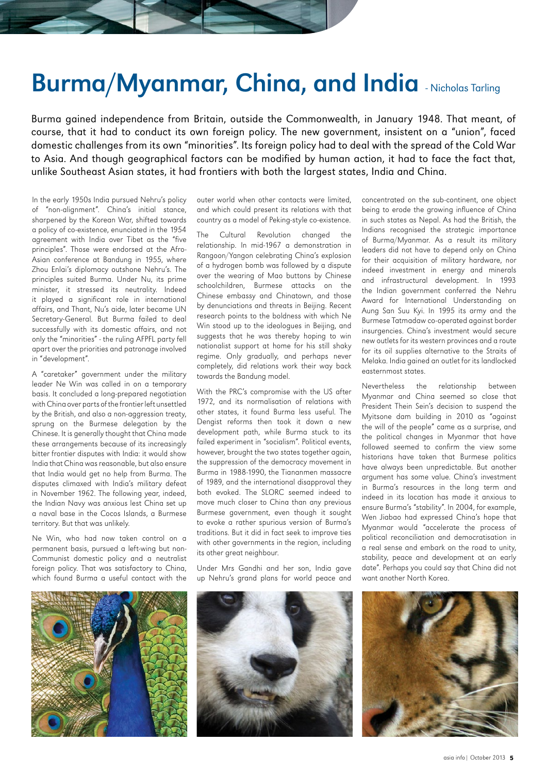## Burma/Myanmar, China, and India - Nicholas Tarling

Burma gained independence from Britain, outside the Commonwealth, in January 1948. That meant, of course, that it had to conduct its own foreign policy. The new government, insistent on a "union", faced domestic challenges from its own "minorities". Its foreign policy had to deal with the spread of the Cold War to Asia. And though geographical factors can be modified by human action, it had to face the fact that, unlike Southeast Asian states, it had frontiers with both the largest states, India and China.

In the early 1950s India pursued Nehru's policy of "non-alignment". China's initial stance, sharpened by the Korean War, shifted towards a policy of co-existence, enunciated in the 1954 agreement with India over Tibet as the "five principles". Those were endorsed at the Afro-Asian conference at Bandung in 1955, where Zhou Enlai's diplomacy outshone Nehru's. The principles suited Burma. Under Nu, its prime minister, it stressed its neutrality. Indeed it played a significant role in international affairs, and Thant, Nu's aide, later became UN Secretary-General. But Burma failed to deal successfully with its domestic affairs, and not only the "minorities" - the ruling AFPFL party fell apart over the priorities and patronage involved in "development".

A "caretaker" government under the military leader Ne Win was called in on a temporary basis. It concluded a long-prepared negotiation with China over parts of the frontier left unsettled by the British, and also a non-aggression treaty, sprung on the Burmese delegation by the Chinese. It is generally thought that China made these arrangements because of its increasingly bitter frontier disputes with India: it would show India that China was reasonable, but also ensure that India would get no help from Burma. The disputes climaxed with India's military defeat in November 1962. The following year, indeed, the Indian Navy was anxious lest China set up a naval base in the Cocos Islands, a Burmese territory. But that was unlikely.

Ne Win, who had now taken control on a permanent basis, pursued a left-wing but non-Communist domestic policy and a neutralist foreign policy. That was satisfactory to China, which found Burma a useful contact with the

outer world when other contacts were limited, and which could present its relations with that country as a model of Peking-style co-existence.

The Cultural Revolution changed the relationship. In mid-1967 a demonstration in Rangoon/Yangon celebrating China's explosion of a hydrogen bomb was followed by a dispute over the wearing of Mao buttons by Chinese schoolchildren, Burmese attacks on the Chinese embassy and Chinatown, and those by denunciations and threats in Beijing. Recent research points to the boldness with which Ne Win stood up to the ideologues in Beijing, and suggests that he was thereby hoping to win nationalist support at home for his still shaky regime. Only gradually, and perhaps never completely, did relations work their way back towards the Bandung model.

With the PRC's compromise with the US after 1972, and its normalisation of relations with other states, it found Burma less useful. The Dengist reforms then took it down a new development path, while Burma stuck to its failed experiment in "socialism". Political events, however, brought the two states together again, the suppression of the democracy movement in Burma in 1988-1990, the Tiananmen massacre of 1989, and the international disapproval they both evoked. The SLORC seemed indeed to move much closer to China than any previous Burmese government, even though it sought to evoke a rather spurious version of Burma's traditions. But it did in fact seek to improve ties with other governments in the region, including its other great neighbour.

Under Mrs Gandhi and her son, India gave up Nehru's grand plans for world peace and

concentrated on the sub-continent, one object being to erode the growing influence of China in such states as Nepal. As had the British, the Indians recognised the strategic importance of Burma/Myanmar. As a result its military leaders did not have to depend only on China for their acquisition of military hardware, nor indeed investment in energy and minerals and infrastructural development. In 1993 the Indian government conferred the Nehru Award for International Understanding on Aung San Suu Kyi. In 1995 its army and the Burmese Tatmadaw co-operated against border insurgencies. China's investment would secure new outlets for its western provinces and a route for its oil supplies alternative to the Straits of Melaka. India gained an outlet for its landlocked easternmost states.

Nevertheless the relationship between Myanmar and China seemed so close that President Thein Sein's decision to suspend the Myitsone dam building in 2010 as "against the will of the people" came as a surprise, and the political changes in Myanmar that have followed seemed to confirm the view some historians have taken that Burmese politics have always been unpredictable. But another argument has some value. China's investment in Burma's resources in the long term and indeed in its location has made it anxious to ensure Burma's "stability". In 2004, for example, Wen Jiabao had expressed China's hope that Myanmar would "accelerate the process of political reconciliation and democratisation in a real sense and embark on the road to unity, stability, peace and development at an early date". Perhaps you could say that China did not want another North Korea.





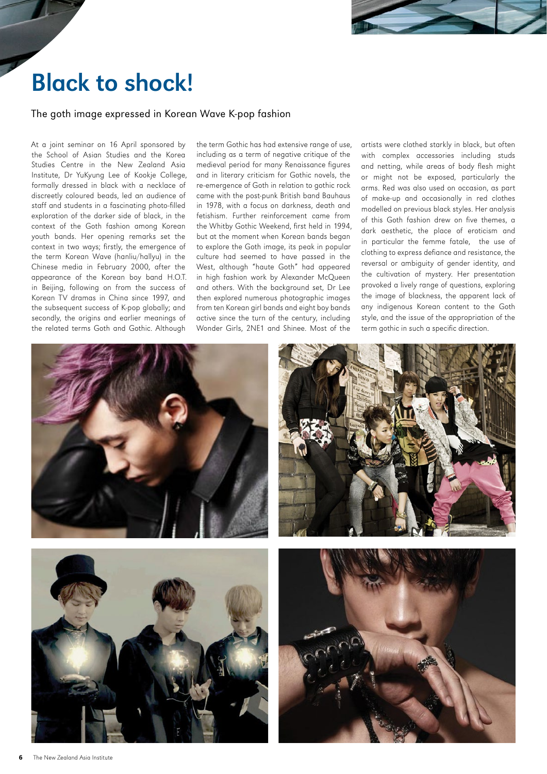

# Black to shock!

### The goth image expressed in Korean Wave K-pop fashion

At a joint seminar on 16 April sponsored by the School of Asian Studies and the Korea Studies Centre in the New Zealand Asia Institute, Dr YuKyung Lee of Kookje College, formally dressed in black with a necklace of discreetly coloured beads, led an audience of staff and students in a fascinating photo-filled exploration of the darker side of black, in the context of the Goth fashion among Korean youth bands. Her opening remarks set the context in two ways; firstly, the emergence of the term Korean Wave (hanliu/hallyu) in the Chinese media in February 2000, after the appearance of the Korean boy band H.O.T. in Beijing, following on from the success of Korean TV dramas in China since 1997, and the subsequent success of K-pop globally; and secondly, the origins and earlier meanings of the related terms Goth and Gothic. Although

the term Gothic has had extensive range of use, including as a term of negative critique of the medieval period for many Renaissance figures and in literary criticism for Gothic novels, the re-emergence of Goth in relation to gothic rock came with the post-punk British band Bauhaus in 1978, with a focus on darkness, death and fetishism. Further reinforcement came from the Whitby Gothic Weekend, first held in 1994, but at the moment when Korean bands began to explore the Goth image, its peak in popular culture had seemed to have passed in the West, although "haute Goth" had appeared in high fashion work by Alexander McQueen and others. With the background set, Dr Lee then explored numerous photographic images from ten Korean girl bands and eight boy bands active since the turn of the century, including Wonder Girls, 2NE1 and Shinee. Most of the

artists were clothed starkly in black, but often with complex accessories including studs and netting, while areas of body flesh might or might not be exposed, particularly the arms. Red was also used on occasion, as part of make-up and occasionally in red clothes modelled on previous black styles. Her analysis of this Goth fashion drew on five themes, a dark aesthetic, the place of eroticism and in particular the femme fatale, the use of clothing to express defiance and resistance, the reversal or ambiguity of gender identity, and the cultivation of mystery. Her presentation provoked a lively range of questions, exploring the image of blackness, the apparent lack of any indigenous Korean content to the Goth style, and the issue of the appropriation of the term gothic in such a specific direction.







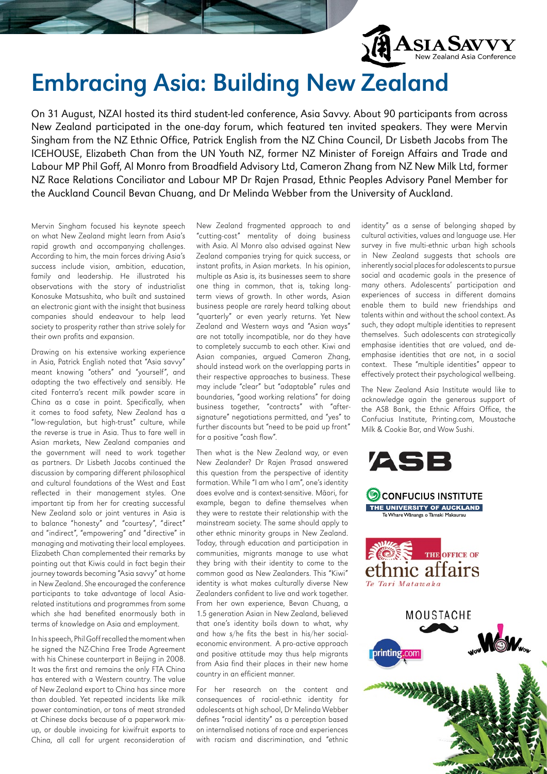

## Embracing Asia: Building New Zealand

On 31 August, NZAI hosted its third student-led conference, Asia Savvy. About 90 participants from across New Zealand participated in the one-day forum, which featured ten invited speakers. They were Mervin Singham from the NZ Ethnic Office, Patrick English from the NZ China Council, Dr Lisbeth Jacobs from The ICEHOUSE, Elizabeth Chan from the UN Youth NZ, former NZ Minister of Foreign Affairs and Trade and Labour MP Phil Goff, Al Monro from Broadfield Advisory Ltd, Cameron Zhang from NZ New Milk Ltd, former NZ Race Relations Conciliator and Labour MP Dr Rajen Prasad, Ethnic Peoples Advisory Panel Member for the Auckland Council Bevan Chuang, and Dr Melinda Webber from the University of Auckland.

Mervin Singham focused his keynote speech on what New Zealand might learn from Asia's rapid growth and accompanying challenges. According to him, the main forces driving Asia's success include vision, ambition, education, family and leadership. He illustrated his observations with the story of industrialist Konosuke Matsushita, who built and sustained an electronic giant with the insight that business companies should endeavour to help lead society to prosperity rather than strive solely for their own profits and expansion.

Drawing on his extensive working experience in Asia, Patrick English noted that "Asia savvy" meant knowing "others" and "yourself", and adapting the two effectively and sensibly. He cited Fonterra's recent milk powder scare in China as a case in point. Specifically, when it comes to food safety, New Zealand has a "low-regulation, but high-trust" culture, while the reverse is true in Asia. Thus to fare well in Asian markets, New Zealand companies and the government will need to work together as partners. Dr Lisbeth Jacobs continued the discussion by comparing different philosophical and cultural foundations of the West and East reflected in their management styles. One important tip from her for creating successful New Zealand solo or joint ventures in Asia is to balance "honesty" and "courtesy", "direct" and "indirect", "empowering" and "directive" in managing and motivating their local employees. Elizabeth Chan complemented their remarks by pointing out that Kiwis could in fact begin their journey towards becoming "Asia savvy" at home in New Zealand. She encouraged the conference participants to take advantage of local Asiarelated institutions and programmes from some which she had benefited enormously both in terms of knowledge on Asia and employment.

In his speech, Phil Goff recalled the moment when he signed the NZ-China Free Trade Agreement with his Chinese counterpart in Beijing in 2008. It was the first and remains the only FTA China has entered with a Western country. The value of New Zealand export to China has since more than doubled. Yet repeated incidents like milk power contamination, or tons of meat stranded at Chinese docks because of a paperwork mixup, or double invoicing for kiwifruit exports to China, all call for urgent reconsideration of

New Zealand fragmented approach to and "cutting-cost" mentality of doing business with Asia. Al Monro also advised against New Zealand companies trying for quick success, or instant profits, in Asian markets. In his opinion, multiple as Asia is, its businesses seem to share one thing in common, that is, taking longterm views of growth. In other words, Asian business people are rarely heard talking about "quarterly" or even yearly returns. Yet New Zealand and Western ways and "Asian ways" are not totally incompatible, nor do they have to completely succumb to each other. Kiwi and Asian companies, argued Cameron Zhang, should instead work on the overlapping parts in their respective approaches to business. These may include "clear" but "adaptable" rules and boundaries, "good working relations" for doing business together, "contracts" with "aftersignature" negotiations permitted, and "yes" to further discounts but "need to be paid up front" for a positive "cash flow".

Then what is the New Zealand way, or even New Zealander? Dr Rajen Prasad answered this question from the perspective of identity formation. While "I am who I am", one's identity does evolve and is context-sensitive. Māori, for example, began to define themselves when they were to restate their relationship with the mainstream society. The same should apply to other ethnic minority groups in New Zealand. Today, through education and participation in communities, migrants manage to use what they bring with their identity to come to the common good as New Zealanders. This "Kiwi" identity is what makes culturally diverse New Zealanders confident to live and work together. From her own experience, Bevan Chuang, a 1.5 generation Asian in New Zealand, believed that one's identity boils down to what, why and how s/he fits the best in his/her socialeconomic environment. A pro-active approach and positive attitude may thus help migrants from Asia find their places in their new home country in an efficient manner.

For her research on the content and consequences of racial-ethnic identity for adolescents at high school, Dr Melinda Webber defines "racial identity" as a perception based on internalised notions of race and experiences with racism and discrimination, and "ethnic

identity" as a sense of belonging shaped by cultural activities, values and language use. Her survey in five multi-ethnic urban high schools in New Zealand suggests that schools are inherently social places for adolescents to pursue social and academic goals in the presence of many others. Adolescents' participation and experiences of success in different domains enable them to build new friendships and talents within and without the school context. As such, they adopt multiple identities to represent themselves. Such adolescents can strategically emphasise identities that are valued, and deemphasise identities that are not, in a social context. These "multiple identities" appear to effectively protect their psychological wellbeing.

The New Zealand Asia Institute would like to acknowledge again the generous support of the ASB Bank, the Ethnic Affairs Office, the Confucius Institute, Printing.com, Moustache Milk & Cookie Bar, and Wow Sushi.